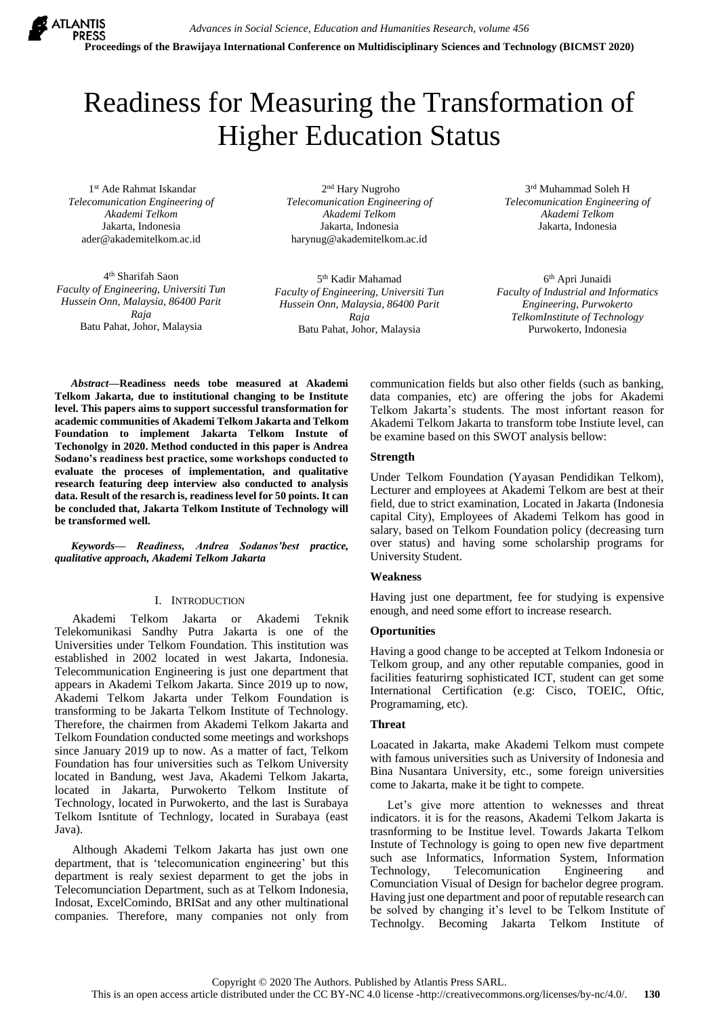

# Readiness for Measuring the Transformation of Higher Education Status

1 st Ade Rahmat Iskandar *Telecomunication Engineering of Akademi Telkom* Jakarta, Indonesia [ader@akademitelkom.ac.id](mailto:ader@akademitelkom.ac.id)

4 th Sharifah Saon *Faculty of Engineering, Universiti Tun Hussein Onn, Malaysia, 86400 Parit Raja* Batu Pahat, Johor, Malaysia

2<sup>nd</sup> Hary Nugroho *Telecomunication Engineering of Akademi Telkom* Jakarta, Indonesia [harynug@akademitelkom.ac.id](mailto:harynug@akademitelkom.ac.id) 

5 th Kadir Mahamad *Faculty of Engineering, Universiti Tun Hussein Onn, Malaysia, 86400 Parit Raja* Batu Pahat, Johor, Malaysia

3 rd Muhammad Soleh H *Telecomunication Engineering of Akademi Telkom* Jakarta, Indonesia

6 th Apri Junaidi *Faculty of Industrial and Informatics Engineering, Purwokerto TelkomInstitute of Technology* Purwokerto, Indonesia

*Abstract***—Readiness needs tobe measured at Akademi Telkom Jakarta, due to institutional changing to be Institute level. This papers aims to support successful transformation for academic communities of Akademi Telkom Jakarta and Telkom Foundation to implement Jakarta Telkom Instute of Techonolgy in 2020. Method conducted in this paper is Andrea Sodano's readiness best practice, some workshops conducted to evaluate the proceses of implementation, and qualitative research featuring deep interview also conducted to analysis data. Result of the resarch is, readiness level for 50 points. It can be concluded that, Jakarta Telkom Institute of Technology will be transformed well.**

*Keywords— Readiness, Andrea Sodanos'best practice, qualitative approach, Akademi Telkom Jakarta*

# I. INTRODUCTION

Akademi Telkom Jakarta or Akademi Teknik Telekomunikasi Sandhy Putra Jakarta is one of the Universities under Telkom Foundation. This institution was established in 2002 located in west Jakarta, Indonesia. Telecommunication Engineering is just one department that appears in Akademi Telkom Jakarta. Since 2019 up to now, Akademi Telkom Jakarta under Telkom Foundation is transforming to be Jakarta Telkom Institute of Technology. Therefore, the chairmen from Akademi Telkom Jakarta and Telkom Foundation conducted some meetings and workshops since January 2019 up to now. As a matter of fact, Telkom Foundation has four universities such as Telkom University located in Bandung, west Java, Akademi Telkom Jakarta, located in Jakarta, Purwokerto Telkom Institute of Technology, located in Purwokerto, and the last is Surabaya Telkom Isntitute of Technlogy, located in Surabaya (east Java).

Although Akademi Telkom Jakarta has just own one department, that is 'telecomunication engineering' but this department is realy sexiest deparment to get the jobs in Telecomunciation Department, such as at Telkom Indonesia, Indosat, ExcelComindo, BRISat and any other multinational companies. Therefore, many companies not only from communication fields but also other fields (such as banking, data companies, etc) are offering the jobs for Akademi Telkom Jakarta's students. The most infortant reason for Akademi Telkom Jakarta to transform tobe Instiute level, can be examine based on this SWOT analysis bellow:

# **Strength**

Under Telkom Foundation (Yayasan Pendidikan Telkom), Lecturer and employees at Akademi Telkom are best at their field, due to strict examination, Located in Jakarta (Indonesia capital City), Employees of Akademi Telkom has good in salary, based on Telkom Foundation policy (decreasing turn over status) and having some scholarship programs for University Student.

## **Weakness**

Having just one department, fee for studying is expensive enough, and need some effort to increase research.

### **Oportunities**

Having a good change to be accepted at Telkom Indonesia or Telkom group, and any other reputable companies, good in facilities featurirng sophisticated ICT, student can get some International Certification (e.g: Cisco, TOEIC, Oftic, Programaming, etc).

## **Threat**

Loacated in Jakarta, make Akademi Telkom must compete with famous universities such as University of Indonesia and Bina Nusantara University, etc., some foreign universities come to Jakarta, make it be tight to compete.

Let's give more attention to weknesses and threat indicators. it is for the reasons, Akademi Telkom Jakarta is trasnforming to be Institue level. Towards Jakarta Telkom Instute of Technology is going to open new five department such ase Informatics, Information System, Information Technology, Telecomunication Engineering and Comunciation Visual of Design for bachelor degree program. Having just one department and poor of reputable research can be solved by changing it's level to be Telkom Institute of Technolgy. Becoming Jakarta Telkom Institute of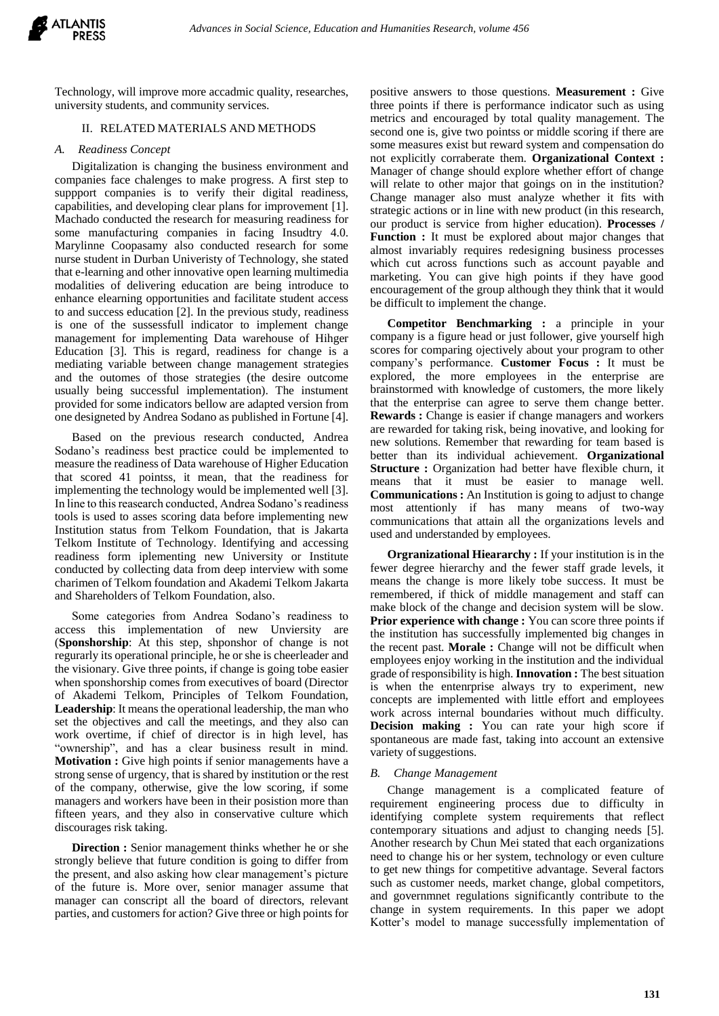

Technology, will improve more accadmic quality, researches, university students, and community services.

## II. RELATED MATERIALS AND METHODS

### *A. Readiness Concept*

Digitalization is changing the business environment and companies face chalenges to make progress. A first step to suppport companies is to verify their digital readiness, capabilities, and developing clear plans for improvement [1]. Machado conducted the research for measuring readiness for some manufacturing companies in facing Insudtry 4.0. Marylinne Coopasamy also conducted research for some nurse student in Durban Univeristy of Technology, she stated that e-learning and other innovative open learning multimedia modalities of delivering education are being introduce to enhance elearning opportunities and facilitate student access to and success education [2]. In the previous study, readiness is one of the sussessfull indicator to implement change management for implementing Data warehouse of Hihger Education [3]. This is regard, readiness for change is a mediating variable between change management strategies and the outomes of those strategies (the desire outcome usually being successful implementation). The instument provided for some indicators bellow are adapted version from one designeted by Andrea Sodano as published in Fortune [4].

Based on the previous research conducted, Andrea Sodano's readiness best practice could be implemented to measure the readiness of Data warehouse of Higher Education that scored 41 pointss, it mean, that the readiness for implementing the technology would be implemented well [3]. In line to this reasearch conducted, Andrea Sodano's readiness tools is used to asses scoring data before implementing new Institution status from Telkom Foundation, that is Jakarta Telkom Institute of Technology. Identifying and accessing readiness form iplementing new University or Institute conducted by collecting data from deep interview with some charimen of Telkom foundation and Akademi Telkom Jakarta and Shareholders of Telkom Foundation, also.

Some categories from Andrea Sodano's readiness to access this implementation of new Unviersity are (**Sponshorship**: At this step, shponshor of change is not regurarly its operational principle, he or she is cheerleader and the visionary. Give three points, if change is going tobe easier when sponshorship comes from executives of board (Director of Akademi Telkom, Principles of Telkom Foundation, **Leadership**: It means the operational leadership, the man who set the objectives and call the meetings, and they also can work overtime, if chief of director is in high level, has "ownership", and has a clear business result in mind. **Motivation :** Give high points if senior managements have a strong sense of urgency, that is shared by institution or the rest of the company, otherwise, give the low scoring, if some managers and workers have been in their posistion more than fifteen years, and they also in conservative culture which discourages risk taking.

**Direction :** Senior management thinks whether he or she strongly believe that future condition is going to differ from the present, and also asking how clear management's picture of the future is. More over, senior manager assume that manager can conscript all the board of directors, relevant parties, and customers for action? Give three or high points for positive answers to those questions. **Measurement :** Give three points if there is performance indicator such as using metrics and encouraged by total quality management. The second one is, give two pointss or middle scoring if there are some measures exist but reward system and compensation do not explicitly corraberate them. **Organizational Context :**  Manager of change should explore whether effort of change will relate to other major that goings on in the institution? Change manager also must analyze whether it fits with strategic actions or in line with new product (in this research, our product is service from higher education). **Processes / Function :** It must be explored about major changes that almost invariably requires redesigning business processes which cut across functions such as account payable and marketing. You can give high points if they have good encouragement of the group although they think that it would be difficult to implement the change.

**Competitor Benchmarking :** a principle in your company is a figure head or just follower, give yourself high scores for comparing ojectively about your program to other company's performance. **Customer Focus :** It must be explored, the more employees in the enterprise are brainstormed with knowledge of customers, the more likely that the enterprise can agree to serve them change better. **Rewards :** Change is easier if change managers and workers are rewarded for taking risk, being inovative, and looking for new solutions. Remember that rewarding for team based is better than its individual achievement. **Organizational**  Structure : Organization had better have flexible churn, it means that it must be easier to manage well. **Communications :** An Institution is going to adjust to change most attentionly if has many means of two-way communications that attain all the organizations levels and used and understanded by employees.

**Orgranizational Hieararchy**: If your institution is in the fewer degree hierarchy and the fewer staff grade levels, it means the change is more likely tobe success. It must be remembered, if thick of middle management and staff can make block of the change and decision system will be slow. **Prior experience with change :** You can score three points if the institution has successfully implemented big changes in the recent past. **Morale :** Change will not be difficult when employees enjoy working in the institution and the individual grade of responsibility is high. **Innovation :** The best situation is when the entenrprise always try to experiment, new concepts are implemented with little effort and employees work across internal boundaries without much difficulty. **Decision making :** You can rate your high score if spontaneous are made fast, taking into account an extensive variety of suggestions.

## *B. Change Management*

Change management is a complicated feature of requirement engineering process due to difficulty in identifying complete system requirements that reflect contemporary situations and adjust to changing needs [5]. Another research by Chun Mei stated that each organizations need to change his or her system, technology or even culture to get new things for competitive advantage. Several factors such as customer needs, market change, global competitors, and governmnet regulations significantly contribute to the change in system requirements. In this paper we adopt Kotter's model to manage successfully implementation of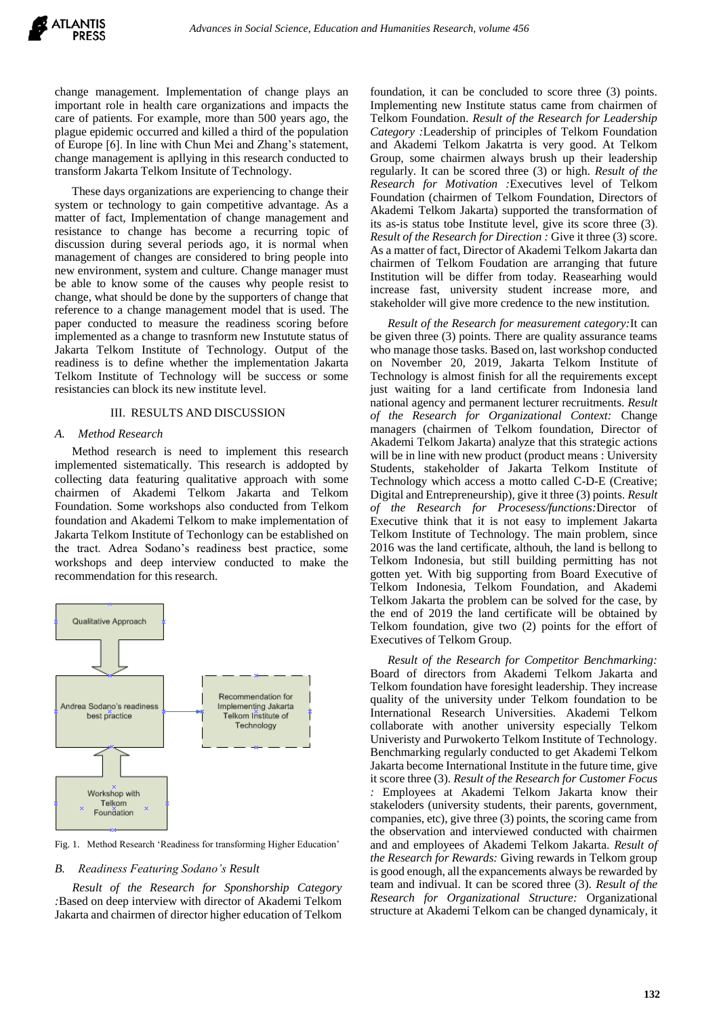change management. Implementation of change plays an important role in health care organizations and impacts the care of patients. For example, more than 500 years ago, the plague epidemic occurred and killed a third of the population of Europe [6]. In line with Chun Mei and Zhang's statement, change management is apllying in this research conducted to transform Jakarta Telkom Insitute of Technology.

These days organizations are experiencing to change their system or technology to gain competitive advantage. As a matter of fact, Implementation of change management and resistance to change has become a recurring topic of discussion during several periods ago, it is normal when management of changes are considered to bring people into new environment, system and culture. Change manager must be able to know some of the causes why people resist to change, what should be done by the supporters of change that reference to a change management model that is used. The paper conducted to measure the readiness scoring before implemented as a change to trasnform new Instutute status of Jakarta Telkom Institute of Technology. Output of the readiness is to define whether the implementation Jakarta Telkom Institute of Technology will be success or some resistancies can block its new institute level.

#### III. RESULTS AND DISCUSSION

#### *A. Method Research*

Method research is need to implement this research implemented sistematically. This research is addopted by collecting data featuring qualitative approach with some chairmen of Akademi Telkom Jakarta and Telkom Foundation. Some workshops also conducted from Telkom foundation and Akademi Telkom to make implementation of Jakarta Telkom Institute of Techonlogy can be established on the tract. Adrea Sodano's readiness best practice, some workshops and deep interview conducted to make the recommendation for this research.



Fig. 1. Method Research 'Readiness for transforming Higher Education'

#### *B. Readiness Featuring Sodano's Result*

*Result of the Research for Sponshorship Category :*Based on deep interview with director of Akademi Telkom Jakarta and chairmen of director higher education of Telkom

foundation, it can be concluded to score three (3) points. Implementing new Institute status came from chairmen of Telkom Foundation. *Result of the Research for Leadership Category :*Leadership of principles of Telkom Foundation and Akademi Telkom Jakatrta is very good. At Telkom Group, some chairmen always brush up their leadership regularly. It can be scored three (3) or high. *Result of the Research for Motivation :*Executives level of Telkom Foundation (chairmen of Telkom Foundation, Directors of Akademi Telkom Jakarta) supported the transformation of its as-is status tobe Institute level, give its score three (3). *Result of the Research for Direction :* Give it three (3) score. As a matter of fact, Director of Akademi Telkom Jakarta dan chairmen of Telkom Foudation are arranging that future Institution will be differ from today. Reasearhing would increase fast, university student increase more, and stakeholder will give more credence to the new institution.

*Result of the Research for measurement category:*It can be given three (3) points. There are quality assurance teams who manage those tasks. Based on, last workshop conducted on November 20, 2019, Jakarta Telkom Institute of Technology is almost finish for all the requirements except just waiting for a land certificate from Indonesia land national agency and permanent lecturer recruitments. *Result of the Research for Organizational Context:* Change managers (chairmen of Telkom foundation, Director of Akademi Telkom Jakarta) analyze that this strategic actions will be in line with new product (product means : University Students, stakeholder of Jakarta Telkom Institute of Technology which access a motto called C-D-E (Creative; Digital and Entrepreneurship), give it three (3) points. *Result of the Research for Procesess/functions:*Director of Executive think that it is not easy to implement Jakarta Telkom Institute of Technology. The main problem, since 2016 was the land certificate, althouh, the land is bellong to Telkom Indonesia, but still building permitting has not gotten yet. With big supporting from Board Executive of Telkom Indonesia, Telkom Foundation, and Akademi Telkom Jakarta the problem can be solved for the case, by the end of 2019 the land certificate will be obtained by Telkom foundation, give two (2) points for the effort of Executives of Telkom Group.

*Result of the Research for Competitor Benchmarking:*  Board of directors from Akademi Telkom Jakarta and Telkom foundation have foresight leadership. They increase quality of the university under Telkom foundation to be International Research Universities. Akademi Telkom collaborate with another university especially Telkom Univeristy and Purwokerto Telkom Institute of Technology. Benchmarking regularly conducted to get Akademi Telkom Jakarta become International Institute in the future time, give it score three (3). *Result of the Research for Customer Focus :* Employees at Akademi Telkom Jakarta know their stakeloders (university students, their parents, government, companies, etc), give three (3) points, the scoring came from the observation and interviewed conducted with chairmen and and employees of Akademi Telkom Jakarta. *Result of the Research for Rewards:* Giving rewards in Telkom group is good enough, all the expancements always be rewarded by team and indivual. It can be scored three (3). *Result of the Research for Organizational Structure:* Organizational structure at Akademi Telkom can be changed dynamicaly, it